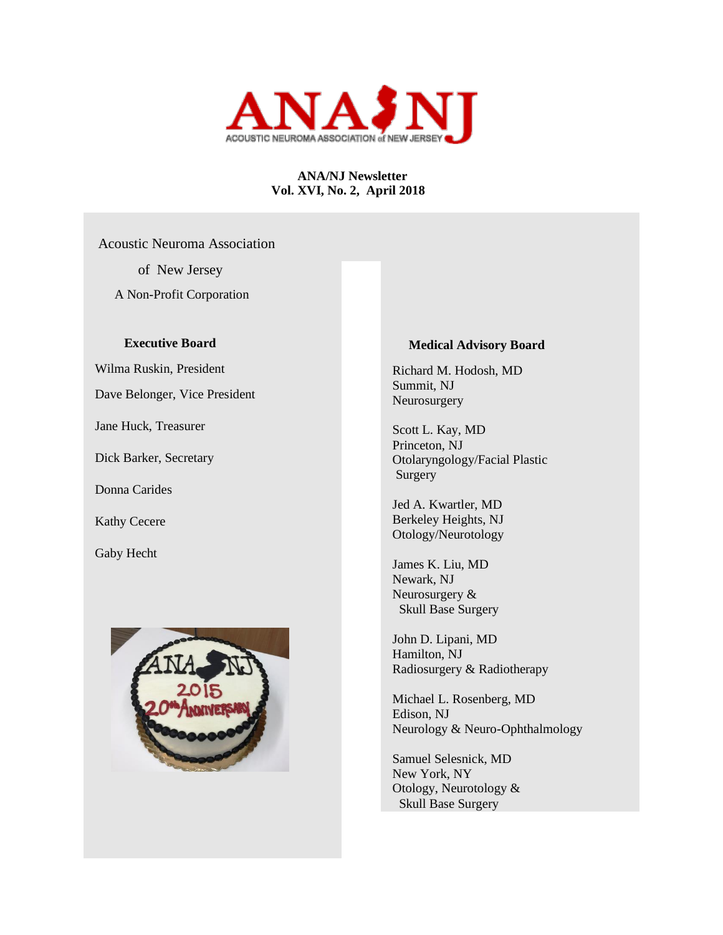

# **ANA/NJ Newsletter Vol. XVI, No. 2, April 2018**

 Acoustic Neuroma Association of New Jersey A Non-Profit Corporation

# **Executive Board**

Wilma Ruskin, President

Dave Belonger, Vice President

Jane Huck, Treasurer

Dick Barker, Secretary

Donna Carides

Kathy Cecere

Gaby Hecht



### **Medical Advisory Board**

 Richard M. Hodosh, MD Summit, NJ Neurosurgery

 Scott L. Kay, MD Princeton, NJ Otolaryngology/Facial Plastic Surgery

 Jed A. Kwartler, MD Berkeley Heights, NJ Otology/Neurotology

 James K. Liu, MD Newark, NJ Neurosurgery & Skull Base Surgery

 John D. Lipani, MD Hamilton, NJ Radiosurgery & Radiotherapy

 Michael L. Rosenberg, MD Edison, NJ Neurology & Neuro-Ophthalmology

 Samuel Selesnick, MD New York, NY Otology, Neurotology & Skull Base Surgery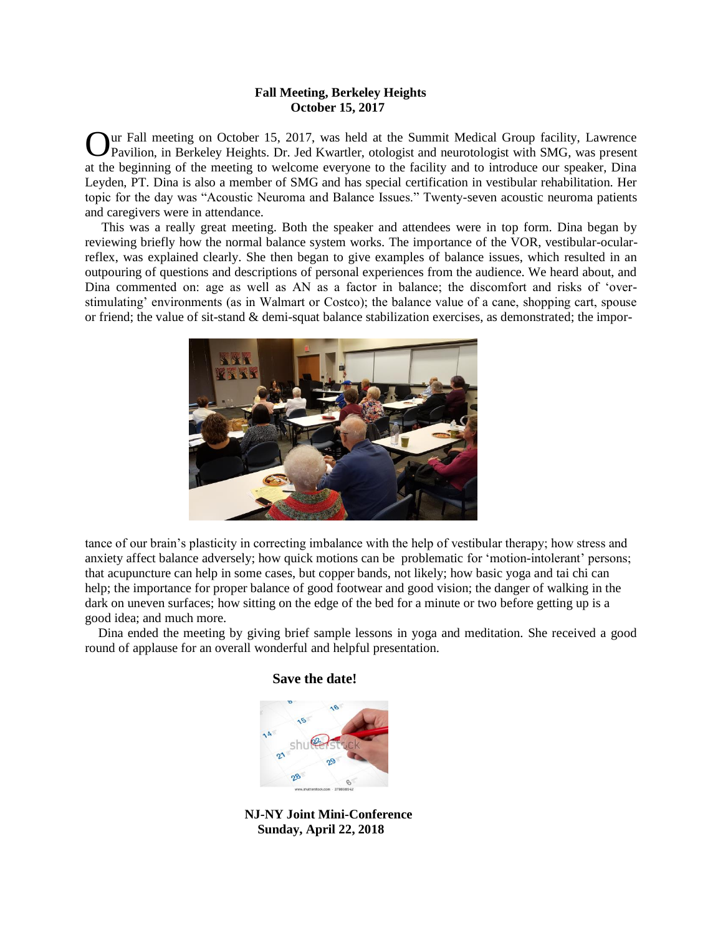### **Fall Meeting, Berkeley Heights October 15, 2017**

ur Fall meeting on October 15, 2017, was held at the Summit Medical Group facility, Lawrence Our Fall meeting on October 15, 2017, was held at the Summit Medical Group facility, Lawrence Pavilion, in Berkeley Heights. Dr. Jed Kwartler, otologist and neurotologist with SMG, was present at the beginning of the meeting to welcome everyone to the facility and to introduce our speaker, Dina Leyden, PT. Dina is also a member of SMG and has special certification in vestibular rehabilitation. Her topic for the day was "Acoustic Neuroma and Balance Issues." Twenty-seven acoustic neuroma patients and caregivers were in attendance.

 This was a really great meeting. Both the speaker and attendees were in top form. Dina began by reviewing briefly how the normal balance system works. The importance of the VOR, vestibular-ocularreflex, was explained clearly. She then began to give examples of balance issues, which resulted in an outpouring of questions and descriptions of personal experiences from the audience. We heard about, and Dina commented on: age as well as AN as a factor in balance; the discomfort and risks of 'overstimulating' environments (as in Walmart or Costco); the balance value of a cane, shopping cart, spouse or friend; the value of sit-stand & demi-squat balance stabilization exercises, as demonstrated; the impor-



tance of our brain's plasticity in correcting imbalance with the help of vestibular therapy; how stress and anxiety affect balance adversely; how quick motions can be problematic for 'motion-intolerant' persons; that acupuncture can help in some cases, but copper bands, not likely; how basic yoga and tai chi can help; the importance for proper balance of good footwear and good vision; the danger of walking in the dark on uneven surfaces; how sitting on the edge of the bed for a minute or two before getting up is a good idea; and much more.

 Dina ended the meeting by giving brief sample lessons in yoga and meditation. She received a good round of applause for an overall wonderful and helpful presentation.

# **Save the date!**



 **NJ-NY Joint Mini-Conference Sunday, April 22, 2018**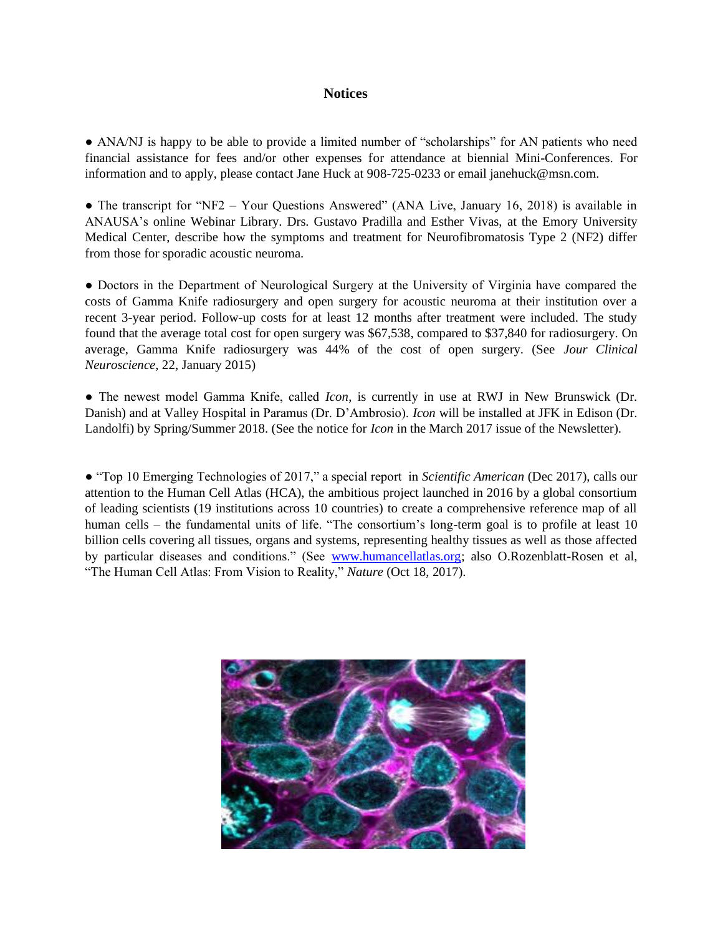## **Notices**

• ANA/NJ is happy to be able to provide a limited number of "scholarships" for AN patients who need financial assistance for fees and/or other expenses for attendance at biennial Mini-Conferences. For information and to apply, please contact Jane Huck at 908-725-0233 or email janehuck@msn.com.

• The transcript for "NF2 – Your Questions Answered" (ANA Live, January 16, 2018) is available in ANAUSA's online Webinar Library. Drs. Gustavo Pradilla and Esther Vivas, at the Emory University Medical Center, describe how the symptoms and treatment for Neurofibromatosis Type 2 (NF2) differ from those for sporadic acoustic neuroma.

● Doctors in the Department of Neurological Surgery at the University of Virginia have compared the costs of Gamma Knife radiosurgery and open surgery for acoustic neuroma at their institution over a recent 3-year period. Follow-up costs for at least 12 months after treatment were included. The study found that the average total cost for open surgery was \$67,538, compared to \$37,840 for radiosurgery. On average, Gamma Knife radiosurgery was 44% of the cost of open surgery. (See *Jour Clinical Neuroscience*, 22, January 2015)

● The newest model Gamma Knife, called *Icon*, is currently in use at RWJ in New Brunswick (Dr. Danish) and at Valley Hospital in Paramus (Dr. D'Ambrosio). *Icon* will be installed at JFK in Edison (Dr. Landolfi) by Spring/Summer 2018. (See the notice for *Icon* in the March 2017 issue of the Newsletter).

● "Top 10 Emerging Technologies of 2017," a special report in *Scientific American* (Dec 2017), calls our attention to the Human Cell Atlas (HCA), the ambitious project launched in 2016 by a global consortium of leading scientists (19 institutions across 10 countries) to create a comprehensive reference map of all human cells – the fundamental units of life. "The consortium's long-term goal is to profile at least 10 billion cells covering all tissues, organs and systems, representing healthy tissues as well as those affected by particular diseases and conditions." (See [www.humancellatlas.org;](http://www.humancellatlas.org/) also O.Rozenblatt-Rosen et al, "The Human Cell Atlas: From Vision to Reality," *Nature* (Oct 18, 2017).

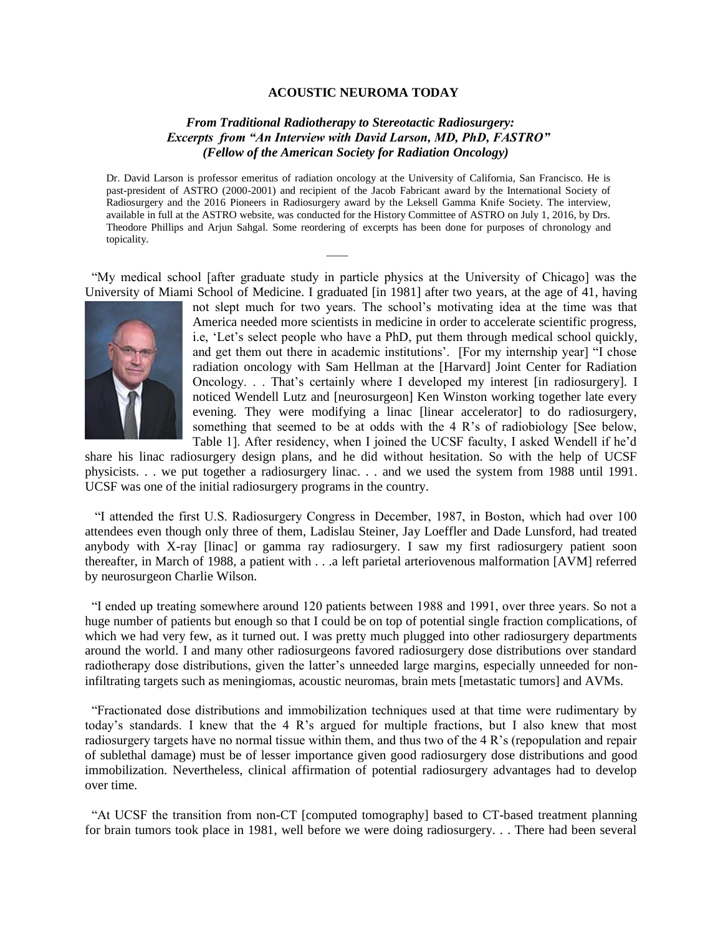#### **ACOUSTIC NEUROMA TODAY**

# *From Traditional Radiotherapy to Stereotactic Radiosurgery: Excerpts from "An Interview with David Larson, MD, PhD, FASTRO" (Fellow of the American Society for Radiation Oncology)*

Dr. David Larson is professor emeritus of radiation oncology at the University of California, San Francisco. He is past-president of ASTRO (2000-2001) and recipient of the Jacob Fabricant award by the International Society of Radiosurgery and the 2016 Pioneers in Radiosurgery award by the Leksell Gamma Knife Society. The interview, available in full at the ASTRO website, was conducted for the History Committee of ASTRO on July 1, 2016, by Drs. Theodore Phillips and Arjun Sahgal. Some reordering of excerpts has been done for purposes of chronology and topicality.

 $\frac{1}{2}$ 

 "My medical school [after graduate study in particle physics at the University of Chicago] was the University of Miami School of Medicine. I graduated [in 1981] after two years, at the age of 41, having



not slept much for two years. The school's motivating idea at the time was that America needed more scientists in medicine in order to accelerate scientific progress, i.e, 'Let's select people who have a PhD, put them through medical school quickly, and get them out there in academic institutions'. [For my internship year] "I chose radiation oncology with Sam Hellman at the [Harvard] Joint Center for Radiation Oncology. . . That's certainly where I developed my interest [in radiosurgery]. I noticed Wendell Lutz and [neurosurgeon] Ken Winston working together late every evening. They were modifying a linac [linear accelerator] to do radiosurgery, something that seemed to be at odds with the 4 R's of radiobiology [See below, Table 1]. After residency, when I joined the UCSF faculty, I asked Wendell if he'd

share his linac radiosurgery design plans, and he did without hesitation. So with the help of UCSF physicists. . . we put together a radiosurgery linac. . . and we used the system from 1988 until 1991. UCSF was one of the initial radiosurgery programs in the country.

 "I attended the first U.S. Radiosurgery Congress in December, 1987, in Boston, which had over 100 attendees even though only three of them, Ladislau Steiner, Jay Loeffler and Dade Lunsford, had treated anybody with X-ray [linac] or gamma ray radiosurgery. I saw my first radiosurgery patient soon thereafter, in March of 1988, a patient with . . .a left parietal arteriovenous malformation [AVM] referred by neurosurgeon Charlie Wilson.

 "I ended up treating somewhere around 120 patients between 1988 and 1991, over three years. So not a huge number of patients but enough so that I could be on top of potential single fraction complications, of which we had very few, as it turned out. I was pretty much plugged into other radiosurgery departments around the world. I and many other radiosurgeons favored radiosurgery dose distributions over standard radiotherapy dose distributions, given the latter's unneeded large margins, especially unneeded for noninfiltrating targets such as meningiomas, acoustic neuromas, brain mets [metastatic tumors] and AVMs.

 "Fractionated dose distributions and immobilization techniques used at that time were rudimentary by today's standards. I knew that the 4 R's argued for multiple fractions, but I also knew that most radiosurgery targets have no normal tissue within them, and thus two of the 4 R's (repopulation and repair of sublethal damage) must be of lesser importance given good radiosurgery dose distributions and good immobilization. Nevertheless, clinical affirmation of potential radiosurgery advantages had to develop over time.

 "At UCSF the transition from non-CT [computed tomography] based to CT-based treatment planning for brain tumors took place in 1981, well before we were doing radiosurgery. . . There had been several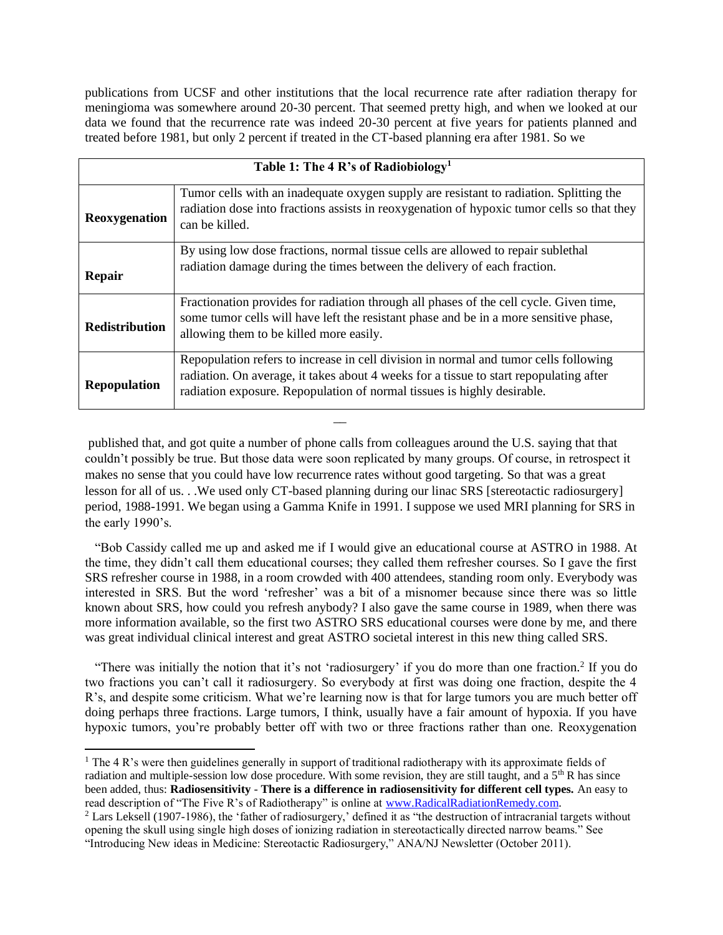publications from UCSF and other institutions that the local recurrence rate after radiation therapy for meningioma was somewhere around 20-30 percent. That seemed pretty high, and when we looked at our data we found that the recurrence rate was indeed 20-30 percent at five years for patients planned and treated before 1981, but only 2 percent if treated in the CT-based planning era after 1981. So we

| Table 1: The 4 R's of Radiobiology <sup>1</sup> |                                                                                                                                                                                                                                                           |
|-------------------------------------------------|-----------------------------------------------------------------------------------------------------------------------------------------------------------------------------------------------------------------------------------------------------------|
| Reoxygenation                                   | Tumor cells with an inadequate oxygen supply are resistant to radiation. Splitting the<br>radiation dose into fractions assists in reoxygenation of hypoxic tumor cells so that they<br>can be killed.                                                    |
| <b>Repair</b>                                   | By using low dose fractions, normal tissue cells are allowed to repair sublethal<br>radiation damage during the times between the delivery of each fraction.                                                                                              |
| <b>Redistribution</b>                           | Fractionation provides for radiation through all phases of the cell cycle. Given time,<br>some tumor cells will have left the resistant phase and be in a more sensitive phase,<br>allowing them to be killed more easily.                                |
| <b>Repopulation</b>                             | Repopulation refers to increase in cell division in normal and tumor cells following<br>radiation. On average, it takes about 4 weeks for a tissue to start repopulating after<br>radiation exposure. Repopulation of normal tissues is highly desirable. |

published that, and got quite a number of phone calls from colleagues around the U.S. saying that that couldn't possibly be true. But those data were soon replicated by many groups. Of course, in retrospect it makes no sense that you could have low recurrence rates without good targeting. So that was a great lesson for all of us. . .We used only CT-based planning during our linac SRS [stereotactic radiosurgery] period, 1988-1991. We began using a Gamma Knife in 1991. I suppose we used MRI planning for SRS in the early 1990's.

 $\mathcal{L}=\mathcal{L}$ 

 "Bob Cassidy called me up and asked me if I would give an educational course at ASTRO in 1988. At the time, they didn't call them educational courses; they called them refresher courses. So I gave the first SRS refresher course in 1988, in a room crowded with 400 attendees, standing room only. Everybody was interested in SRS. But the word 'refresher' was a bit of a misnomer because since there was so little known about SRS, how could you refresh anybody? I also gave the same course in 1989, when there was more information available, so the first two ASTRO SRS educational courses were done by me, and there was great individual clinical interest and great ASTRO societal interest in this new thing called SRS.

"There was initially the notion that it's not 'radiosurgery' if you do more than one fraction.<sup>2</sup> If you do two fractions you can't call it radiosurgery. So everybody at first was doing one fraction, despite the 4 R's, and despite some criticism. What we're learning now is that for large tumors you are much better off doing perhaps three fractions. Large tumors, I think, usually have a fair amount of hypoxia. If you have hypoxic tumors, you're probably better off with two or three fractions rather than one. Reoxygenation

<sup>&</sup>lt;sup>1</sup> The 4 R's were then guidelines generally in support of traditional radiotherapy with its approximate fields of radiation and multiple-session low dose procedure. With some revision, they are still taught, and a  $5<sup>th</sup>$  R has since been added, thus: **Radiosensitivity** - **There is a difference in radiosensitivity for different cell types.** An easy to read description of "The Five R's of Radiotherapy" is online at [www.RadicalRadiationRemedy.com.](http://www.radicalradiationremedy.com/) 

<sup>2</sup> Lars Leksell (1907-1986), the 'father of radiosurgery,' defined it as "the destruction of intracranial targets without opening the skull using single high doses of ionizing radiation in stereotactically directed narrow beams." See "Introducing New ideas in Medicine: Stereotactic Radiosurgery," ANA/NJ Newsletter (October 2011).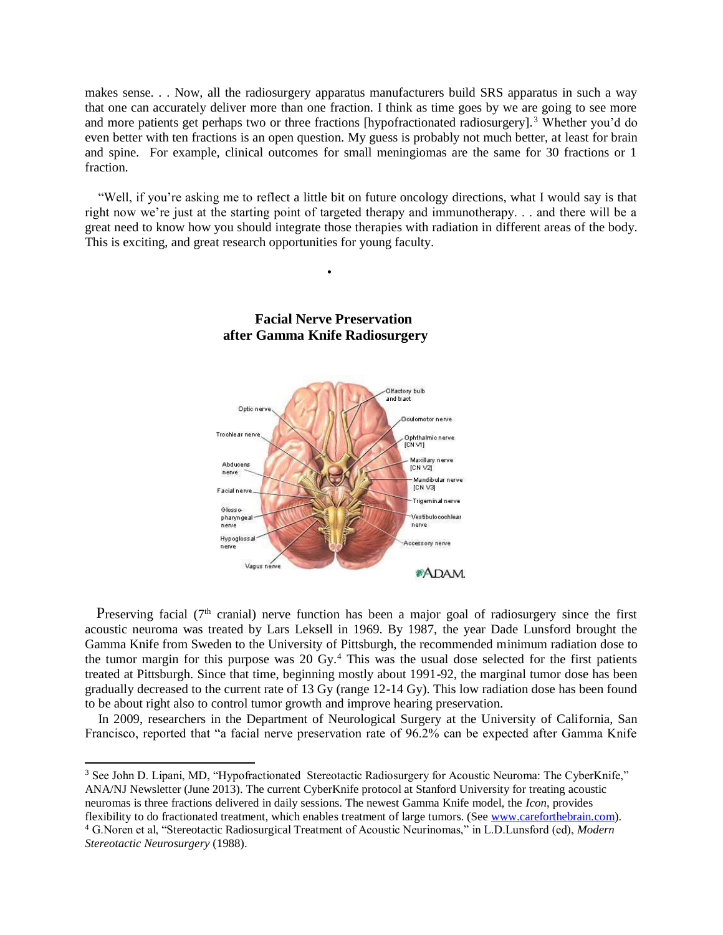makes sense. . . Now, all the radiosurgery apparatus manufacturers build SRS apparatus in such a way that one can accurately deliver more than one fraction. I think as time goes by we are going to see more and more patients get perhaps two or three fractions [hypofractionated radiosurgery].<sup>3</sup> Whether you'd do even better with ten fractions is an open question. My guess is probably not much better, at least for brain and spine. For example, clinical outcomes for small meningiomas are the same for 30 fractions or 1 fraction.

 "Well, if you're asking me to reflect a little bit on future oncology directions, what I would say is that right now we're just at the starting point of targeted therapy and immunotherapy. . . and there will be a great need to know how you should integrate those therapies with radiation in different areas of the body. This is exciting, and great research opportunities for young faculty.



# **Facial Nerve Preservation after Gamma Knife Radiosurgery**

•

Preserving facial ( $7<sup>th</sup>$  cranial) nerve function has been a major goal of radiosurgery since the first acoustic neuroma was treated by Lars Leksell in 1969. By 1987, the year Dade Lunsford brought the Gamma Knife from Sweden to the University of Pittsburgh, the recommended minimum radiation dose to the tumor margin for this purpose was 20 Gy.<sup>4</sup> This was the usual dose selected for the first patients treated at Pittsburgh. Since that time, beginning mostly about 1991-92, the marginal tumor dose has been gradually decreased to the current rate of 13 Gy (range 12-14 Gy). This low radiation dose has been found to be about right also to control tumor growth and improve hearing preservation.

 In 2009, researchers in the Department of Neurological Surgery at the University of California, San Francisco, reported that "a facial nerve preservation rate of 96.2% can be expected after Gamma Knife

<sup>3</sup> See John D. Lipani, MD, "Hypofractionated Stereotactic Radiosurgery for Acoustic Neuroma: The CyberKnife," ANA/NJ Newsletter (June 2013). The current CyberKnife protocol at Stanford University for treating acoustic neuromas is three fractions delivered in daily sessions. The newest Gamma Knife model, the *Icon*, provides flexibility to do fractionated treatment, which enables treatment of large tumors. (See [www.careforthebrain.com\)](http://www.careforthebrain.com/).

<sup>4</sup> G.Noren et al, "Stereotactic Radiosurgical Treatment of Acoustic Neurinomas," in L.D.Lunsford (ed), *Modern Stereotactic Neurosurgery* (1988).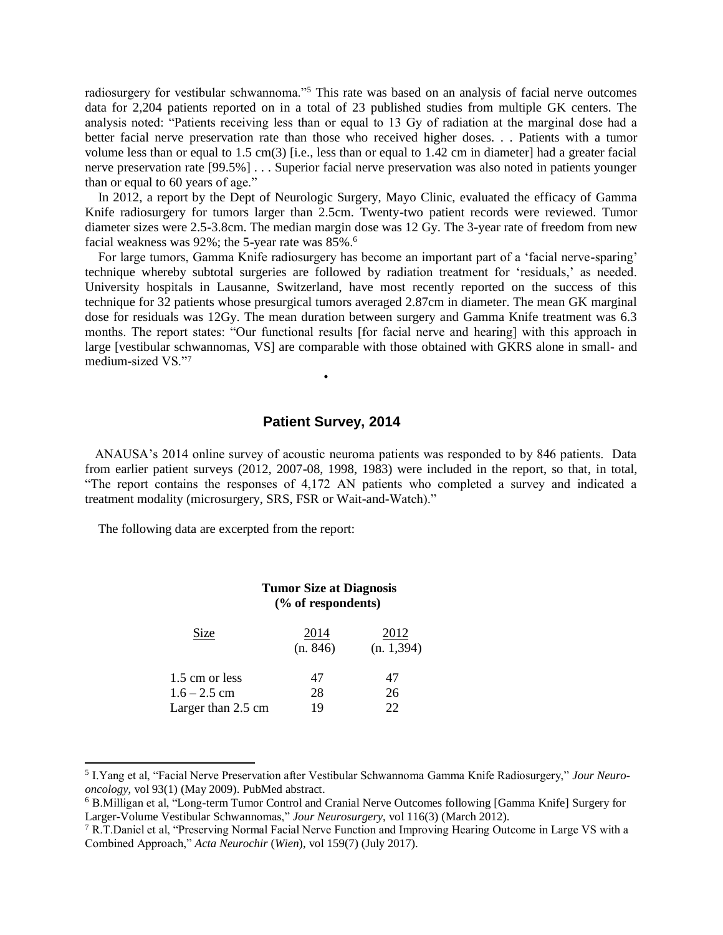radiosurgery for vestibular schwannoma."<sup>5</sup> This rate was based on an analysis of facial nerve outcomes data for 2,204 patients reported on in a total of 23 published studies from multiple GK centers. The analysis noted: "Patients receiving less than or equal to 13 Gy of radiation at the marginal dose had a better facial nerve preservation rate than those who received higher doses. . . Patients with a tumor volume less than or equal to 1.5 cm(3) [i.e., less than or equal to 1.42 cm in diameter] had a greater facial nerve preservation rate [99.5%] . . . Superior facial nerve preservation was also noted in patients younger than or equal to 60 years of age."

 In 2012, a report by the Dept of Neurologic Surgery, Mayo Clinic, evaluated the efficacy of Gamma Knife radiosurgery for tumors larger than 2.5cm. Twenty-two patient records were reviewed. Tumor diameter sizes were 2.5-3.8cm. The median margin dose was 12 Gy. The 3-year rate of freedom from new facial weakness was 92%; the 5-year rate was 85%.<sup>6</sup>

 For large tumors, Gamma Knife radiosurgery has become an important part of a 'facial nerve-sparing' technique whereby subtotal surgeries are followed by radiation treatment for 'residuals,' as needed. University hospitals in Lausanne, Switzerland, have most recently reported on the success of this technique for 32 patients whose presurgical tumors averaged 2.87cm in diameter. The mean GK marginal dose for residuals was 12Gy. The mean duration between surgery and Gamma Knife treatment was 6.3 months. The report states: "Our functional results [for facial nerve and hearing] with this approach in large [vestibular schwannomas, VS] are comparable with those obtained with GKRS alone in small- and medium-sized VS."<sup>7</sup>

# **Patient Survey, 2014**

•

 ANAUSA's 2014 online survey of acoustic neuroma patients was responded to by 846 patients. Data from earlier patient surveys (2012, 2007-08, 1998, 1983) were included in the report, so that, in total, "The report contains the responses of 4,172 AN patients who completed a survey and indicated a treatment modality (microsurgery, SRS, FSR or Wait-and-Watch)."

The following data are excerpted from the report:

|                                  | <b>Tumor Size at Diagnosis</b><br>$(\%$ of respondents) |                     |
|----------------------------------|---------------------------------------------------------|---------------------|
| Size                             | 2014<br>(n. 846)                                        | 2012<br>(n. 1, 394) |
| 1.5 cm or less<br>$1.6 - 2.5$ cm | 47<br>28                                                | 47<br>26            |
| Larger than 2.5 cm               | 19                                                      | 22                  |

<sup>5</sup> I.Yang et al, "Facial Nerve Preservation after Vestibular Schwannoma Gamma Knife Radiosurgery," *Jour Neurooncology*, vol 93(1) (May 2009). PubMed abstract.

<sup>6</sup> B.Milligan et al, "Long-term Tumor Control and Cranial Nerve Outcomes following [Gamma Knife] Surgery for Larger-Volume Vestibular Schwannomas," *Jour Neurosurgery*, vol 116(3) (March 2012).

<sup>&</sup>lt;sup>7</sup> R.T.Daniel et al, "Preserving Normal Facial Nerve Function and Improving Hearing Outcome in Large VS with a Combined Approach," *Acta Neurochir* (*Wien*), vol 159(7) (July 2017).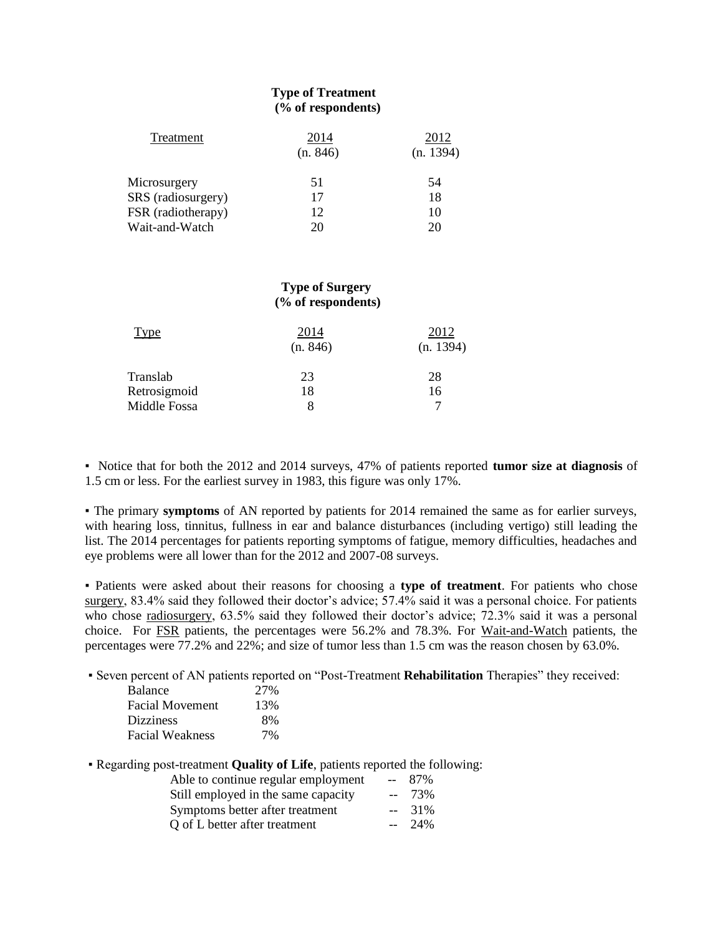# **Type of Treatment (% of respondents)**

| Treatment          | 2014     | 2012      |
|--------------------|----------|-----------|
|                    | (n. 846) | (n. 1394) |
| Microsurgery       | 51       | 54        |
| SRS (radiosurgery) | 17       | 18        |
| FSR (radiotherapy) | 12       | 10        |
| Wait-and-Watch     | 20       | 20        |

# **Type of Surgery (% of respondents)**

| Type         | 2014<br>(n. 846) | 2012<br>(n. 1394) |  |
|--------------|------------------|-------------------|--|
| Translab     | 23               | 28                |  |
| Retrosigmoid | 18               | 16                |  |
| Middle Fossa | 8                |                   |  |

▪ Notice that for both the 2012 and 2014 surveys, 47% of patients reported **tumor size at diagnosis** of 1.5 cm or less. For the earliest survey in 1983, this figure was only 17%.

▪ The primary **symptoms** of AN reported by patients for 2014 remained the same as for earlier surveys, with hearing loss, tinnitus, fullness in ear and balance disturbances (including vertigo) still leading the list. The 2014 percentages for patients reporting symptoms of fatigue, memory difficulties, headaches and eye problems were all lower than for the 2012 and 2007-08 surveys.

▪ Patients were asked about their reasons for choosing a **type of treatment**. For patients who chose surgery, 83.4% said they followed their doctor's advice; 57.4% said it was a personal choice. For patients who chose radiosurgery, 63.5% said they followed their doctor's advice; 72.3% said it was a personal choice. For FSR patients, the percentages were 56.2% and 78.3%. For Wait-and-Watch patients, the percentages were 77.2% and 22%; and size of tumor less than 1.5 cm was the reason chosen by 63.0%.

▪ Seven percent of AN patients reported on "Post-Treatment **Rehabilitation** Therapies" they received:

| <b>Balance</b>         | 27% |
|------------------------|-----|
| <b>Facial Movement</b> | 13% |
| <b>Dizziness</b>       | 8%  |
| <b>Facial Weakness</b> | 7%  |

▪ Regarding post-treatment **Quality of Life**, patients reported the following:

| Able to continue regular employment | $-87\%$ |
|-------------------------------------|---------|
| Still employed in the same capacity | $-23\%$ |
| Symptoms better after treatment     | $-31\%$ |
| Q of L better after treatment       | $-24\%$ |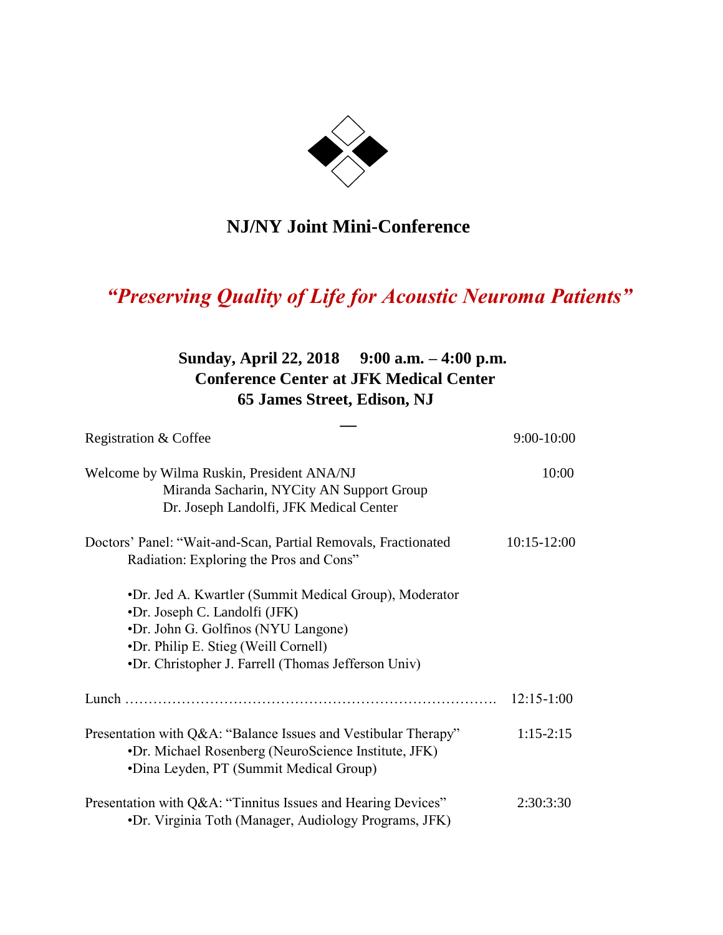

# **NJ/NY Joint Mini-Conference**

# *"Preserving Quality of Life for Acoustic Neuroma Patients"*

# **Sunday, April 22, 2018 9:00 a.m. – 4:00 p.m. Conference Center at JFK Medical Center 65 James Street, Edison, NJ**

**\_\_**

| Registration & Coffee                                                                                                                                                                                                         |                 |
|-------------------------------------------------------------------------------------------------------------------------------------------------------------------------------------------------------------------------------|-----------------|
| Welcome by Wilma Ruskin, President ANA/NJ<br>Miranda Sacharin, NYCity AN Support Group<br>Dr. Joseph Landolfi, JFK Medical Center                                                                                             | 10:00           |
| Doctors' Panel: "Wait-and-Scan, Partial Removals, Fractionated<br>Radiation: Exploring the Pros and Cons"                                                                                                                     | $10:15 - 12:00$ |
| •Dr. Jed A. Kwartler (Summit Medical Group), Moderator<br>•Dr. Joseph C. Landolfi (JFK)<br>•Dr. John G. Golfinos (NYU Langone)<br>•Dr. Philip E. Stieg (Weill Cornell)<br>•Dr. Christopher J. Farrell (Thomas Jefferson Univ) |                 |
|                                                                                                                                                                                                                               | $12:15-1:00$    |
| Presentation with Q&A: "Balance Issues and Vestibular Therapy"<br>•Dr. Michael Rosenberg (NeuroScience Institute, JFK)<br>•Dina Leyden, PT (Summit Medical Group)                                                             | $1:15-2:15$     |
| Presentation with Q&A: "Tinnitus Issues and Hearing Devices"<br>•Dr. Virginia Toth (Manager, Audiology Programs, JFK)                                                                                                         | 2:30:3:30       |